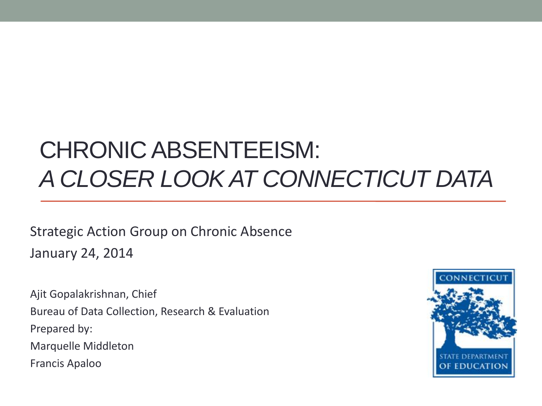#### CHRONIC ABSENTEEISM: *A CLOSER LOOK AT CONNECTICUT DATA*

Strategic Action Group on Chronic Absence January 24, 2014

Ajit Gopalakrishnan, Chief Bureau of Data Collection, Research & Evaluation Prepared by: Marquelle Middleton Francis Apaloo

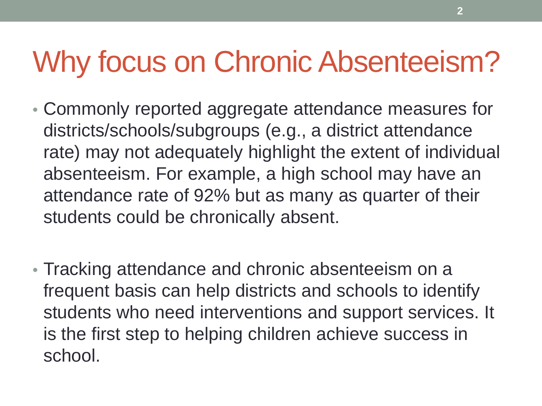# Why focus on Chronic Absenteeism?

- Commonly reported aggregate attendance measures for districts/schools/subgroups (e.g., a district attendance rate) may not adequately highlight the extent of individual absenteeism. For example, a high school may have an attendance rate of 92% but as many as quarter of their students could be chronically absent.
- Tracking attendance and chronic absenteeism on a frequent basis can help districts and schools to identify students who need interventions and support services. It is the first step to helping children achieve success in school.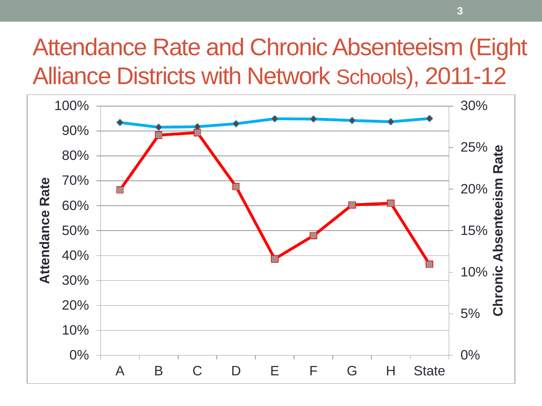#### Attendance Rate and Chronic Absenteeism (Eight Alliance Districts with Network Schools), 2011-12

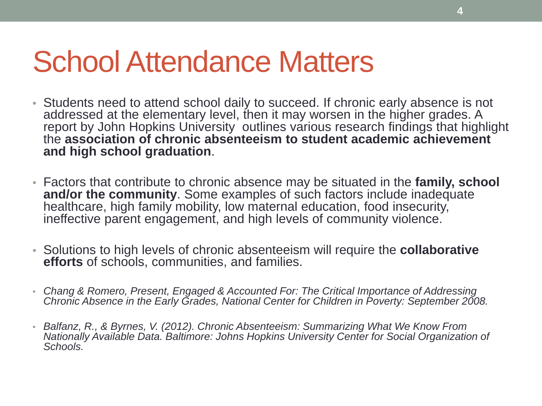#### School Attendance Matters

- Students need to attend school daily to succeed. If chronic early absence is not addressed at the elementary level, then it may worsen in the higher grades. A report by John Hopkins University outlines various research findings that highlight the **association of chronic absenteeism to student academic achievement and high school graduation**.
- Factors that contribute to chronic absence may be situated in the **family, school and/or the community**. Some examples of such factors include inadequate healthcare, high family mobility, low maternal education, food insecurity, ineffective parent engagement, and high levels of community violence.
- Solutions to high levels of chronic absenteeism will require the **collaborative efforts** of schools, communities, and families.
- *Chang & Romero, Present, Engaged & Accounted For: The Critical Importance of Addressing Chronic Absence in the Early Grades, National Center for Children in Poverty: September 2008.*
- *Balfanz, R., & Byrnes, V. (2012). Chronic Absenteeism: Summarizing What We Know From Nationally Available Data. Baltimore: Johns Hopkins University Center for Social Organization of Schools.*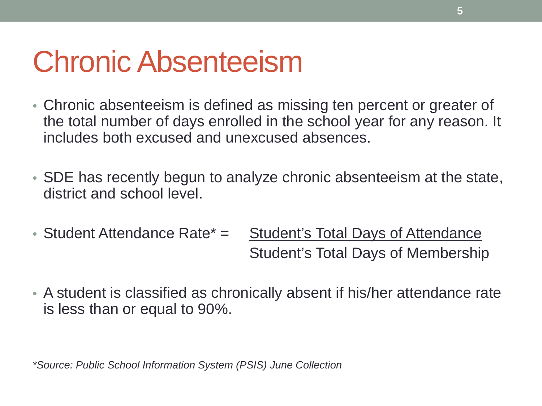# Chronic Absenteeism

- Chronic absenteeism is defined as missing ten percent or greater of the total number of days enrolled in the school year for any reason. It includes both excused and unexcused absences.
- SDE has recently begun to analyze chronic absenteeism at the state, district and school level.
- Student Attendance Rate<sup>\*</sup> = Student's Total Days of Attendance Student's Total Days of Membership
- A student is classified as chronically absent if his/her attendance rate is less than or equal to 90%.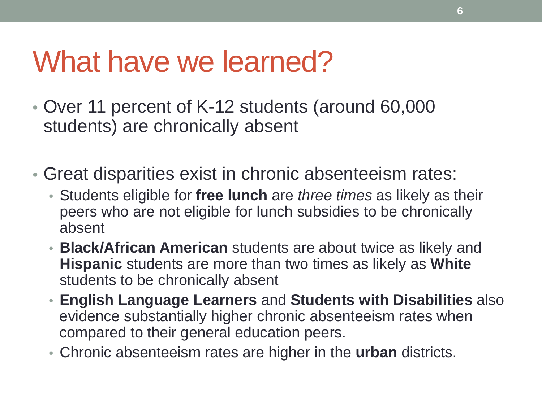# What have we learned?

- Over 11 percent of K-12 students (around 60,000 students) are chronically absent
- Great disparities exist in chronic absenteeism rates:
	- Students eligible for **free lunch** are *three times* as likely as their peers who are not eligible for lunch subsidies to be chronically absent
	- **Black/African American** students are about twice as likely and **Hispanic** students are more than two times as likely as **White**  students to be chronically absent
	- **English Language Learners** and **Students with Disabilities** also evidence substantially higher chronic absenteeism rates when compared to their general education peers.
	- Chronic absenteeism rates are higher in the **urban** districts.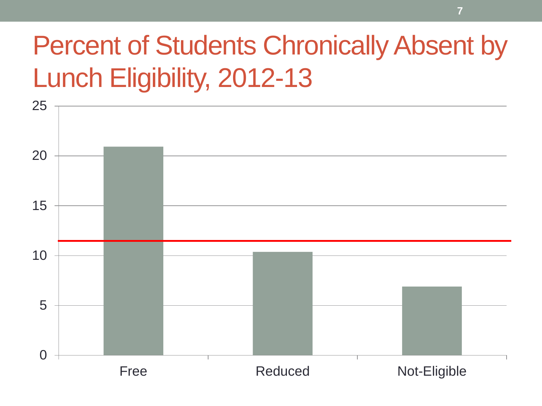## Percent of Students Chronically Absent by Lunch Eligibility, 2012-13

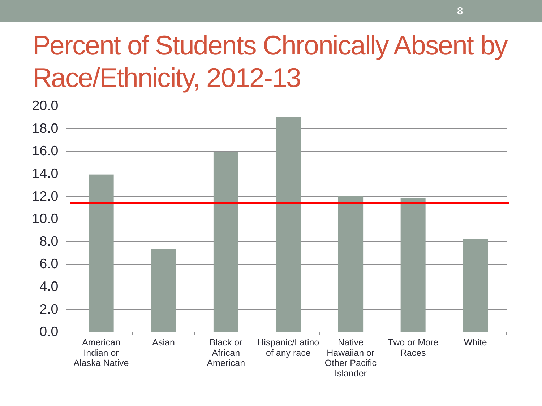#### Percent of Students Chronically Absent by Race/Ethnicity, 2012-13

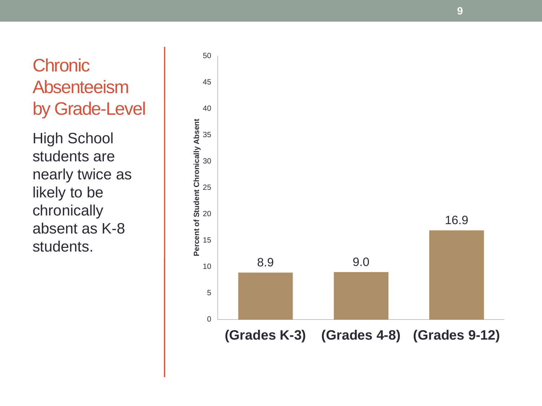

**(Grades K-3) (Grades 4-8) (Grades 9-12)**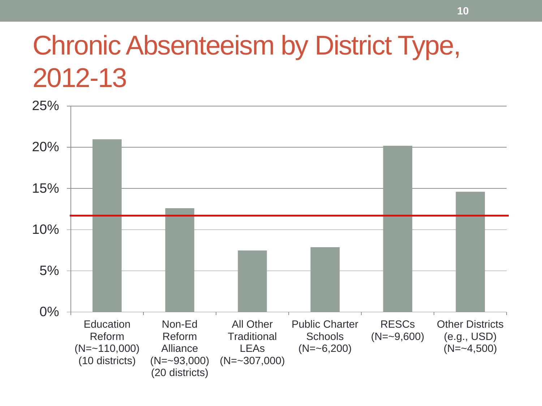#### Chronic Absenteeism by District Type, 2012-13

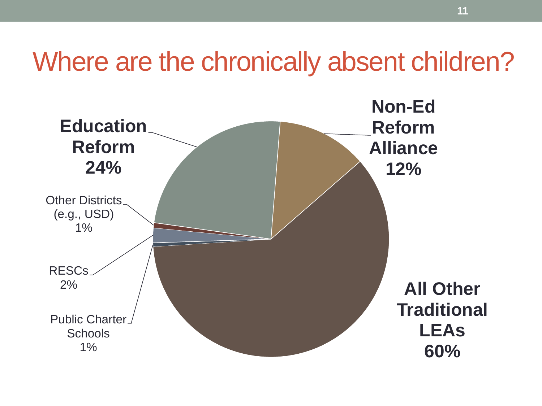#### Where are the chronically absent children?

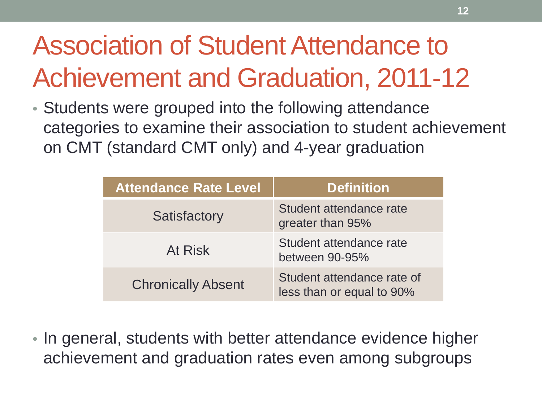# Association of Student Attendance to Achievement and Graduation, 2011-12

• Students were grouped into the following attendance categories to examine their association to student achievement on CMT (standard CMT only) and 4-year graduation

| <b>Attendance Rate Level</b> | <b>Definition</b>                                       |  |
|------------------------------|---------------------------------------------------------|--|
| Satisfactory                 | Student attendance rate<br>greater than 95%             |  |
| At Risk                      | Student attendance rate<br>between 90-95%               |  |
| <b>Chronically Absent</b>    | Student attendance rate of<br>less than or equal to 90% |  |

• In general, students with better attendance evidence higher achievement and graduation rates even among subgroups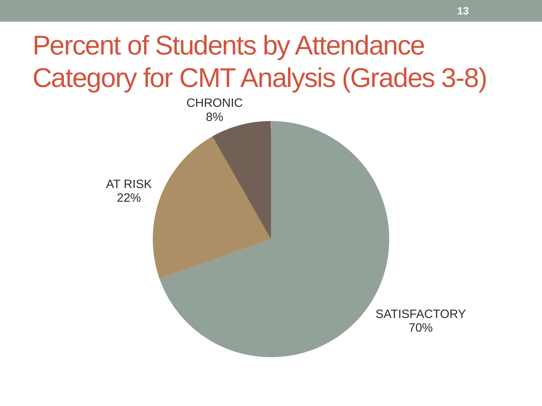## Percent of Students by Attendance Category for CMT Analysis (Grades 3-8)

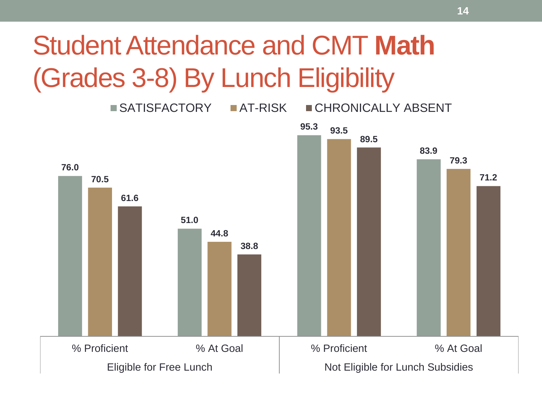# Student Attendance and CMT **Math** (Grades 3-8) By Lunch Eligibility

**76.0 51.0 95.3 83.9 70.5 44.8 93.5 79.3 61.6 38.8 89.5 71.2** % Proficient  $\%$  At Goal  $\%$  Proficient  $\%$  At Goal ■ SATISFACTORY AT-RISK PCHRONICALLY ABSENT

Eligible for Free Lunch Not Eligible for Lunch Subsidies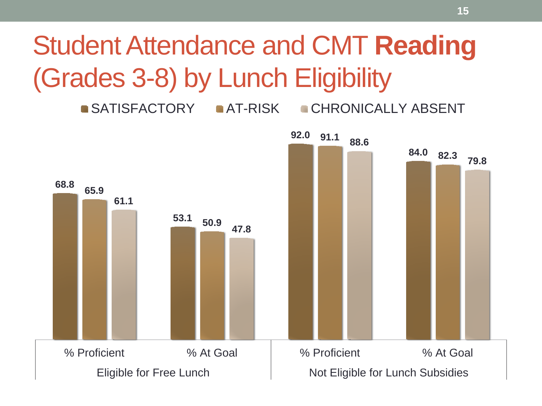## Student Attendance and CMT **Reading** (Grades 3-8) by Lunch Eligibility

**SATISFACTORY AT-RISK CHRONICALLY ABSENT** 

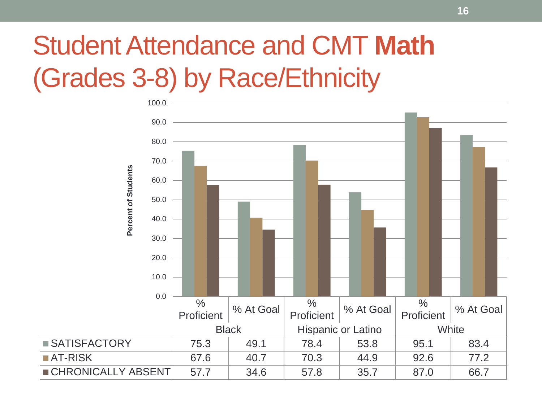#### Student Attendance and CMT **Math** (Grades 3-8) by Race/Ethnicity

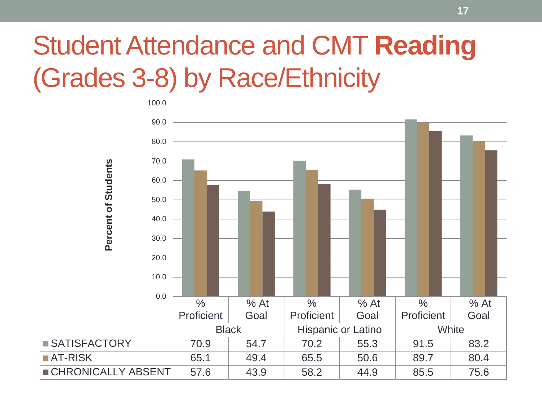### Student Attendance and CMT **Reading** (Grades 3-8) by Race/Ethnicity

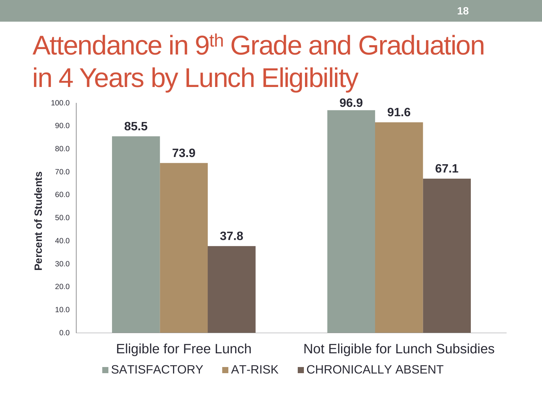# Attendance in 9<sup>th</sup> Grade and Graduation in 4 Years by Lunch Eligibility

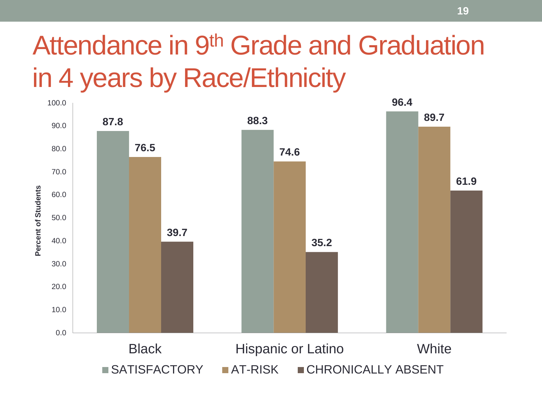## Attendance in 9<sup>th</sup> Grade and Graduation in 4 years by Race/Ethnicity

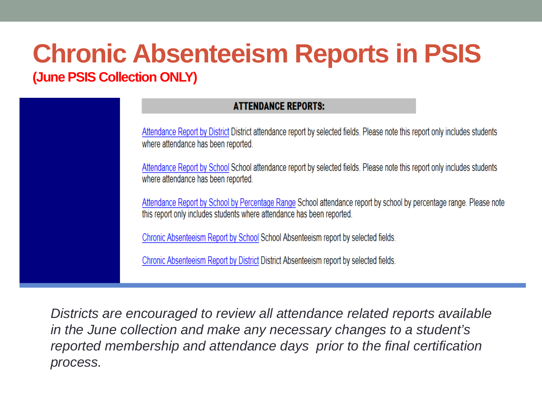#### **Chronic Absenteeism Reports in PSIS (June PSIS Collection ONLY)**

#### **ATTENDANCE REPORTS:**

Attendance Report by District District attendance report by selected fields. Please note this report only includes students where attendance has been reported.

Attendance Report by School School attendance report by selected fields. Please note this report only includes students where attendance has been reported.

Attendance Report by School by Percentage Range School attendance report by school by percentage range. Please note this report only includes students where attendance has been reported.

Chronic Absenteeism Report by School School Absenteeism report by selected fields.

Chronic Absenteeism Report by District District Absenteeism report by selected fields.

*Districts are encouraged to review all attendance related reports available in the June collection and make any necessary changes to a student's reported membership and attendance days prior to the final certification process.*